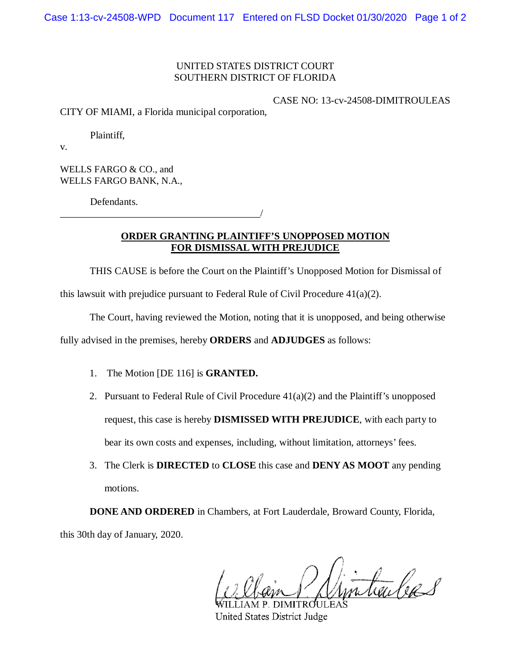## UNITED STATES DISTRICT COURT SOUTHERN DISTRICT OF FLORIDA

## CASE NO: 13-cv-24508-DIMITROULEAS

CITY OF MIAMI, a Florida municipal corporation,

\_\_\_\_\_\_\_\_\_\_\_\_\_\_\_\_\_\_\_\_\_\_\_\_\_\_\_\_\_\_\_\_\_\_\_\_\_\_\_\_/

Plaintiff,

v.

WELLS FARGO & CO., and WELLS FARGO BANK, N.A.,

Defendants.

**ORDER GRANTING PLAINTIFF'S UNOPPOSED MOTION FOR DISMISSAL WITH PREJUDICE**

THIS CAUSE is before the Court on the Plaintiff's Unopposed Motion for Dismissal of

this lawsuit with prejudice pursuant to Federal Rule of Civil Procedure  $41(a)(2)$ .

The Court, having reviewed the Motion, noting that it is unopposed, and being otherwise

fully advised in the premises, hereby **ORDERS** and **ADJUDGES** as follows:

- 1. The Motion [DE 116] is **GRANTED.**
- 2. Pursuant to Federal Rule of Civil Procedure  $41(a)(2)$  and the Plaintiff's unopposed request, this case is hereby **DISMISSED WITH PREJUDICE**, with each party to bear its own costs and expenses, including, without limitation, attorneys' fees.
- 3. The Clerk is **DIRECTED** to **CLOSE** this case and **DENY AS MOOT** any pending motions.

**DONE AND ORDERED** in Chambers, at Fort Lauderdale, Broward County, Florida, this 30th day of January, 2020.

intenbers P. DIMITROULE

**United States District Judge**